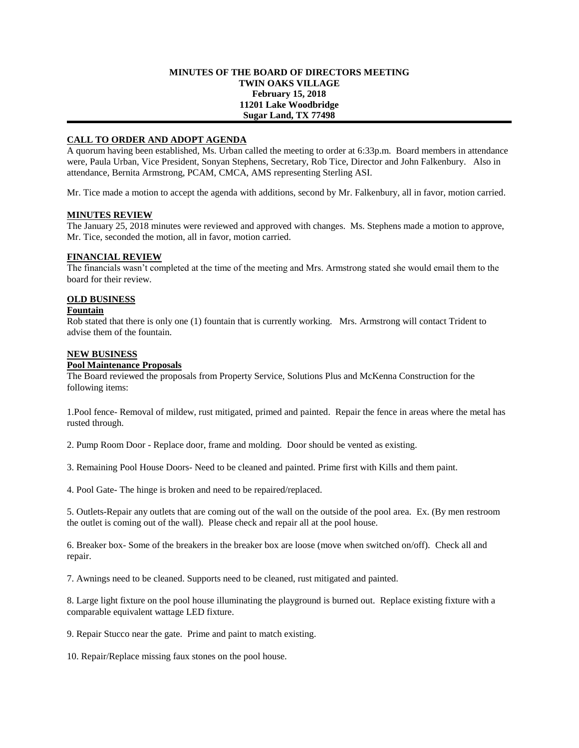### **MINUTES OF THE BOARD OF DIRECTORS MEETING TWIN OAKS VILLAGE February 15, 2018 11201 Lake Woodbridge Sugar Land, TX 77498**

# **CALL TO ORDER AND ADOPT AGENDA**

A quorum having been established, Ms. Urban called the meeting to order at 6:33p.m. Board members in attendance were, Paula Urban, Vice President, Sonyan Stephens, Secretary, Rob Tice, Director and John Falkenbury. Also in attendance, Bernita Armstrong, PCAM, CMCA, AMS representing Sterling ASI.

Mr. Tice made a motion to accept the agenda with additions, second by Mr. Falkenbury, all in favor, motion carried.

### **MINUTES REVIEW**

The January 25, 2018 minutes were reviewed and approved with changes. Ms. Stephens made a motion to approve, Mr. Tice, seconded the motion, all in favor, motion carried.

# **FINANCIAL REVIEW**

The financials wasn't completed at the time of the meeting and Mrs. Armstrong stated she would email them to the board for their review.

# **OLD BUSINESS**

#### **Fountain**

Rob stated that there is only one (1) fountain that is currently working. Mrs. Armstrong will contact Trident to advise them of the fountain.

### **NEW BUSINESS**

### **Pool Maintenance Proposals**

The Board reviewed the proposals from Property Service, Solutions Plus and McKenna Construction for the following items:

1.Pool fence- Removal of mildew, rust mitigated, primed and painted. Repair the fence in areas where the metal has rusted through.

2. Pump Room Door - Replace door, frame and molding. Door should be vented as existing.

3. Remaining Pool House Doors- Need to be cleaned and painted. Prime first with Kills and them paint.

4. Pool Gate- The hinge is broken and need to be repaired/replaced.

5. Outlets-Repair any outlets that are coming out of the wall on the outside of the pool area. Ex. (By men restroom the outlet is coming out of the wall). Please check and repair all at the pool house.

6. Breaker box- Some of the breakers in the breaker box are loose (move when switched on/off). Check all and repair.

7. Awnings need to be cleaned. Supports need to be cleaned, rust mitigated and painted.

8. Large light fixture on the pool house illuminating the playground is burned out. Replace existing fixture with a comparable equivalent wattage LED fixture.

9. Repair Stucco near the gate. Prime and paint to match existing.

10. Repair/Replace missing faux stones on the pool house.